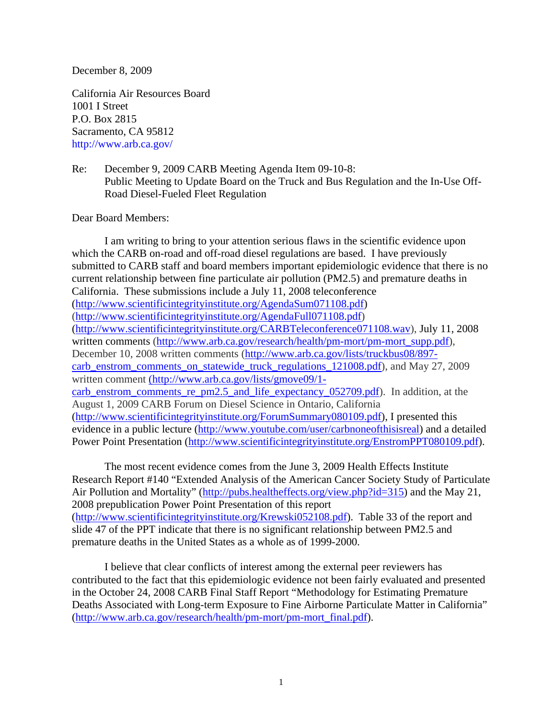December 8, 2009

California Air Resources Board 1001 I Street P.O. Box 2815 Sacramento, CA 95812 http://www.arb.ca.gov/

Re: December 9, 2009 CARB Meeting Agenda Item 09-10-8: Public Meeting to Update Board on the Truck and Bus Regulation and the In-Use Off-Road Diesel-Fueled Fleet Regulation

## Dear Board Members:

I am writing to bring to your attention serious flaws in the scientific evidence upon which the CARB on-road and off-road diesel regulations are based. I have previously submitted to CARB staff and board members important epidemiologic evidence that there is no current relationship between fine particulate air pollution (PM2.5) and premature deaths in California. These submissions include a July 11, 2008 teleconference [\(http://www.scientificintegrityinstitute.org/AgendaSum071108.pdf\)](http://www.scientificintegrityinstitute.org/AgendaSum071108.pdf) [\(http://www.scientificintegrityinstitute.org/AgendaFull071108.pdf\)](http://www.scientificintegrityinstitute.org/AgendaFull071108.pdf) [\(http://www.scientificintegrityinstitute.org/CARBTeleconference071108.wav\)](http://www.scientificintegrityinstitute.org/CARBTeleconference071108.wav), July 11, 2008 written comments [\(http://www.arb.ca.gov/research/health/pm-mort/pm-mort\\_supp.pdf\)](http://www.arb.ca.gov/research/health/pm-mort/pm-mort_supp.pdf), December 10, 2008 written comments [\(http://www.arb.ca.gov/lists/truckbus08/897](http://www.arb.ca.gov/lists/truckbus08/897-carb_enstrom_comments_on_statewide_truck_regulations_121008.pdf) [carb\\_enstrom\\_comments\\_on\\_statewide\\_truck\\_regulations\\_121008.pdf\)](http://www.arb.ca.gov/lists/truckbus08/897-carb_enstrom_comments_on_statewide_truck_regulations_121008.pdf), and May 27, 2009 written comment [\(http://www.arb.ca.gov/lists/gmove09/1](http://www.arb.ca.gov/lists/gmove09/1-carb_enstrom_comments_re_pm2.5_and_life_expectancy_052709.pdf) [carb\\_enstrom\\_comments\\_re\\_pm2.5\\_and\\_life\\_expectancy\\_052709.pdf\)](http://www.arb.ca.gov/lists/gmove09/1-carb_enstrom_comments_re_pm2.5_and_life_expectancy_052709.pdf). In addition, at the August 1, 2009 CARB Forum on Diesel Science in Ontario, California [\(http://www.scientificintegrityinstitute.org/ForumSummary080109.pdf\)](http://www.scientificintegrityinstitute.org/ForumSummary080109.pdf), I presented this evidence in a public lecture [\(http://www.youtube.com/user/carbnoneofthisisreal\)](http://www.youtube.com/user/carbnoneofthisisreal) and a detailed Power Point Presentation [\(http://www.scientificintegrityinstitute.org/EnstromPPT080109.pdf\)](http://www.scientificintegrityinstitute.org/EnstromPPT080109.pdf).

The most recent evidence comes from the June 3, 2009 Health Effects Institute Research Report #140 "Extended Analysis of the American Cancer Society Study of Particulate Air Pollution and Mortality" [\(http://pubs.healtheffects.org/view.php?id=315\)](http://pubs.healtheffects.org/view.php?id=315) and the May 21, 2008 prepublication Power Point Presentation of this report [\(http://www.scientificintegrityinstitute.org/Krewski052108.pdf\)](http://www.scientificintegrityinstitute.org/Krewski052108.pdf). Table 33 of the report and slide 47 of the PPT indicate that there is no significant relationship between PM2.5 and premature deaths in the United States as a whole as of 1999-2000.

I believe that clear conflicts of interest among the external peer reviewers has contributed to the fact that this epidemiologic evidence not been fairly evaluated and presented in the October 24, 2008 CARB Final Staff Report "Methodology for Estimating Premature Deaths Associated with Long-term Exposure to Fine Airborne Particulate Matter in California" [\(http://www.arb.ca.gov/research/health/pm-mort/pm-mort\\_final.pdf\)](http://www.arb.ca.gov/research/health/pm-mort/pm-mort_final.pdf).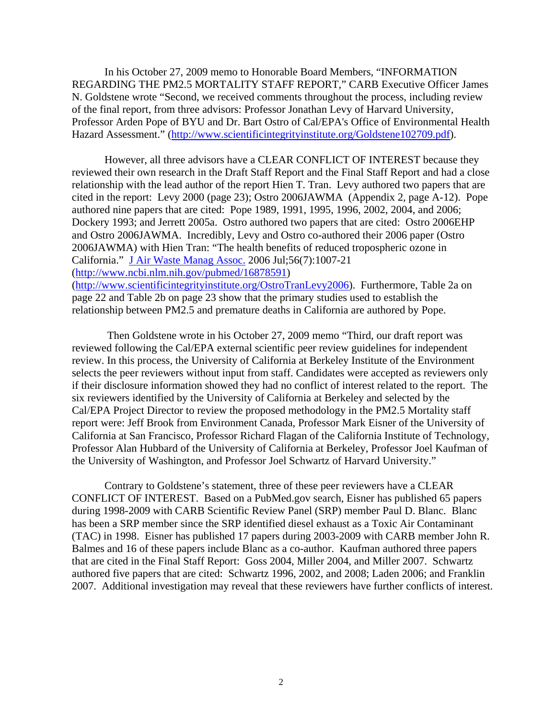In his October 27, 2009 memo to Honorable Board Members, "INFORMATION REGARDING THE PM2.5 MORTALITY STAFF REPORT," CARB Executive Officer James N. Goldstene wrote "Second, we received comments throughout the process, including review of the final report, from three advisors: Professor Jonathan Levy of Harvard University, Professor Arden Pope of BYU and Dr. Bart Ostro of Cal/EPA's Office of Environmental Health Hazard Assessment." [\(http://www.scientificintegrityinstitute.org/Goldstene102709.pdf\)](http://www.scientificintegrityinstitute.org/Goldstene102709.pdf).

However, all three advisors have a CLEAR CONFLICT OF INTEREST because they reviewed their own research in the Draft Staff Report and the Final Staff Report and had a close relationship with the lead author of the report Hien T. Tran. Levy authored two papers that are cited in the report: Levy 2000 (page 23); Ostro 2006JAWMA (Appendix 2, page A-12). Pope authored nine papers that are cited: Pope 1989, 1991, 1995, 1996, 2002, 2004, and 2006; Dockery 1993; and Jerrett 2005a. Ostro authored two papers that are cited: Ostro 2006EHP and Ostro 2006JAWMA. Incredibly, Levy and Ostro co-authored their 2006 paper (Ostro 2006JAWMA) with Hien Tran: "The health benefits of reduced tropospheric ozone in California." [J Air Waste Manag Assoc.](javascript:AL_get(this,%20) 2006 Jul;56(7):1007-21 [\(http://www.ncbi.nlm.nih.gov/pubmed/16878591\)](http://www.ncbi.nlm.nih.gov/pubmed/16878591) [\(http://www.scientificintegrityinstitute.org/OstroTranLevy2006\)](http://www.scientificintegrityinstitute.org/OstroTranLevy2006). Furthermore, Table 2a on

page 22 and Table 2b on page 23 show that the primary studies used to establish the relationship between PM2.5 and premature deaths in California are authored by Pope.

Then Goldstene wrote in his October 27, 2009 memo "Third, our draft report was reviewed following the Cal/EPA external scientific peer review guidelines for independent review. In this process, the University of California at Berkeley Institute of the Environment selects the peer reviewers without input from staff. Candidates were accepted as reviewers only if their disclosure information showed they had no conflict of interest related to the report. The six reviewers identified by the University of California at Berkeley and selected by the Cal/EPA Project Director to review the proposed methodology in the PM2.5 Mortality staff report were: Jeff Brook from Environment Canada, Professor Mark Eisner of the University of California at San Francisco, Professor Richard Flagan of the California Institute of Technology, Professor Alan Hubbard of the University of California at Berkeley, Professor Joel Kaufman of the University of Washington, and Professor Joel Schwartz of Harvard University."

Contrary to Goldstene's statement, three of these peer reviewers have a CLEAR CONFLICT OF INTEREST. Based on a PubMed.gov search, Eisner has published 65 papers during 1998-2009 with CARB Scientific Review Panel (SRP) member Paul D. Blanc. Blanc has been a SRP member since the SRP identified diesel exhaust as a Toxic Air Contaminant (TAC) in 1998. Eisner has published 17 papers during 2003-2009 with CARB member John R. Balmes and 16 of these papers include Blanc as a co-author. Kaufman authored three papers that are cited in the Final Staff Report: Goss 2004, Miller 2004, and Miller 2007. Schwartz authored five papers that are cited: Schwartz 1996, 2002, and 2008; Laden 2006; and Franklin 2007. Additional investigation may reveal that these reviewers have further conflicts of interest.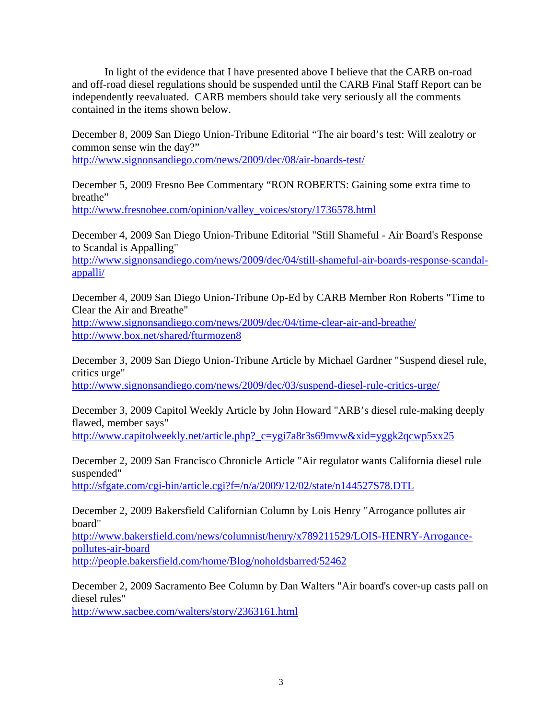In light of the evidence that I have presented above I believe that the CARB on-road and off-road diesel regulations should be suspended until the CARB Final Staff Report can be independently reevaluated. CARB members should take very seriously all the comments contained in the items shown below.

December 8, 2009 San Diego Union-Tribune Editorial "The air board's test: Will zealotry or common sense win the day?" <http://www.signonsandiego.com/news/2009/dec/08/air-boards-test/>

December 5, 2009 Fresno Bee Commentary "RON ROBERTS: Gaining some extra time to breathe" [http://www.fresnobee.com/opinion/valley\\_voices/story/1736578.html](http://www.fresnobee.com/opinion/valley_voices/story/1736578.html)

December 4, 2009 San Diego Union-Tribune Editorial "Still Shameful - Air Board's Response to Scandal is Appalling"

[http://www.signonsandiego.com/news/2009/dec/04/still-shameful-air-boards-response-scandal](http://www.signonsandiego.com/news/2009/dec/04/still-shameful-air-boards-response-scandal-appalli/)[appalli/](http://www.signonsandiego.com/news/2009/dec/04/still-shameful-air-boards-response-scandal-appalli/)

December 4, 2009 San Diego Union-Tribune Op-Ed by CARB Member Ron Roberts "Time to Clear the Air and Breathe"

<http://www.signonsandiego.com/news/2009/dec/04/time-clear-air-and-breathe/> <http://www.box.net/shared/fturmozen8>

December 3, 2009 San Diego Union-Tribune Article by Michael Gardner "Suspend diesel rule, critics urge"

<http://www.signonsandiego.com/news/2009/dec/03/suspend-diesel-rule-critics-urge/>

December 3, 2009 Capitol Weekly Article by John Howard "ARB's diesel rule-making deeply flawed, member says"

[http://www.capitolweekly.net/article.php?\\_c=ygi7a8r3s69mvw&xid=yggk2qcwp5xx25](http://www.capitolweekly.net/article.php?_c=ygi7a8r3s69mvw&xid=yggk2qcwp5xx25)

December 2, 2009 San Francisco Chronicle Article "Air regulator wants California diesel rule suspended"

<http://sfgate.com/cgi-bin/article.cgi?f=/n/a/2009/12/02/state/n144527S78.DTL>

December 2, 2009 Bakersfield Californian Column by Lois Henry "Arrogance pollutes air board"

[http://www.bakersfield.com/news/columnist/henry/x789211529/LOIS-HENRY-Arrogance](http://www.bakersfield.com/news/columnist/henry/x789211529/LOIS-HENRY-Arrogance-pollutes-air-board)[pollutes-air-board](http://www.bakersfield.com/news/columnist/henry/x789211529/LOIS-HENRY-Arrogance-pollutes-air-board)

[http://people.bakersfield.com/home/Blog/noholdsbarred/52462](http://www.bakersfield.com/news/columnist/henry/x789211529/LOIS-HENRY-Arrogance-pollutes-air-board)

December 2, 2009 Sacramento Bee Column by Dan Walters "Air board's cover-up casts pall on diesel rules"

<http://www.sacbee.com/walters/story/2363161.html>